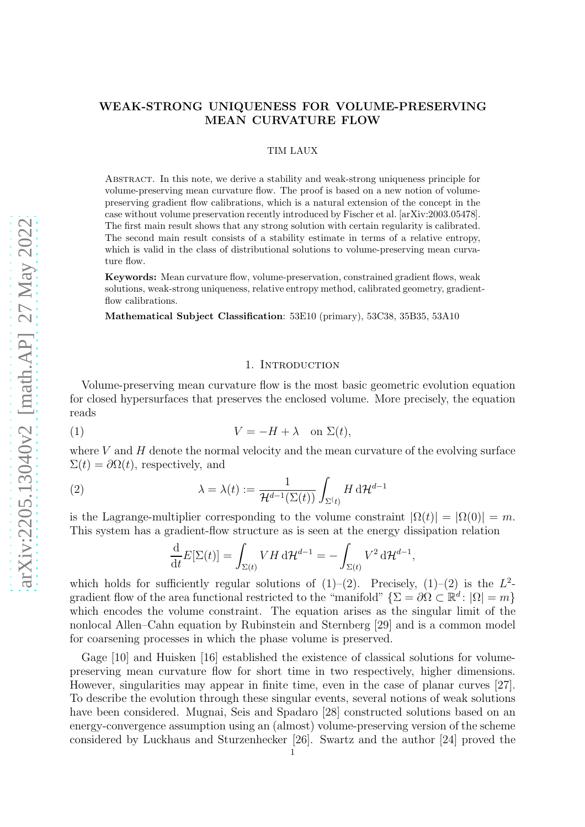# WEAK-STRONG UNIQUENESS FOR VOLUME-PRESERVING MEAN CURVATURE FLOW

#### TIM LAUX

Abstract. In this note, we derive a stability and weak-strong uniqueness principle for volume-preserving mean curvature flow. The proof is based on a new notion of volumepreserving gradient flow calibrations, which is a natural extension of the concept in the case without volume preservation recently introduced by Fischer et al. [\[arXiv:2003.05478\]](https://arxiv.org/abs/arXiv:2003.05478). The first main result shows that any strong solution with certain regularity is calibrated. The second main result consists of a stability estimate in terms of a relative entropy, which is valid in the class of distributional solutions to volume-preserving mean curvature flow.

Keywords: Mean curvature flow, volume-preservation, constrained gradient flows, weak solutions, weak-strong uniqueness, relative entropy method, calibrated geometry, gradientflow calibrations.

Mathematical Subject Classification: 53E10 (primary), 53C38, 35B35, 53A10

## 1. INTRODUCTION

Volume-preserving mean curvature flow is the most basic geometric evolution equation for closed hypersurfaces that preserves the enclosed volume. More precisely, the equation reads

<span id="page-0-0"></span>
$$
(1) \t\t V = -H + \lambda \quad \text{on } \Sigma(t),
$$

where  $V$  and  $H$  denote the normal velocity and the mean curvature of the evolving surface  $\Sigma(t) = \partial \Omega(t)$ , respectively, and

<span id="page-0-1"></span>(2) 
$$
\lambda = \lambda(t) := \frac{1}{\mathcal{H}^{d-1}(\Sigma(t))} \int_{\Sigma(t)} H \, d\mathcal{H}^{d-1}
$$

is the Lagrange-multiplier corresponding to the volume constraint  $|\Omega(t)| = |\Omega(0)| = m$ . This system has a gradient-flow structure as is seen at the energy dissipation relation

$$
\frac{\mathrm{d}}{\mathrm{d}t}E[\Sigma(t)] = \int_{\Sigma(t)} V H \, \mathrm{d}t^{d-1} = - \int_{\Sigma(t)} V^2 \, \mathrm{d}t^{d-1},
$$

which holds for sufficiently regular solutions of  $(1)-(2)$  $(1)-(2)$ . Precisely,  $(1)-(2)$  is the  $L^2$ gradient flow of the area functional restricted to the "manifold"  $\{\Sigma = \partial\Omega \subset \mathbb{R}^d : |\Omega| = m\}$ which encodes the volume constraint. The equation arises as the singular limit of the nonlocal Allen–Cahn equation by Rubinstein and Sternberg [\[29\]](#page-13-0) and is a common model for coarsening processes in which the phase volume is preserved.

Gage [\[10\]](#page-12-0) and Huisken [\[16\]](#page-13-1) established the existence of classical solutions for volumepreserving mean curvature flow for short time in two respectively, higher dimensions. However, singularities may appear in finite time, even in the case of planar curves [\[27\]](#page-13-2). To describe the evolution through these singular events, several notions of weak solutions have been considered. Mugnai, Seis and Spadaro [\[28\]](#page-13-3) constructed solutions based on an energy-convergence assumption using an (almost) volume-preserving version of the scheme considered by Luckhaus and Sturzenhecker [\[26\]](#page-13-4). Swartz and the author [\[24\]](#page-13-5) proved the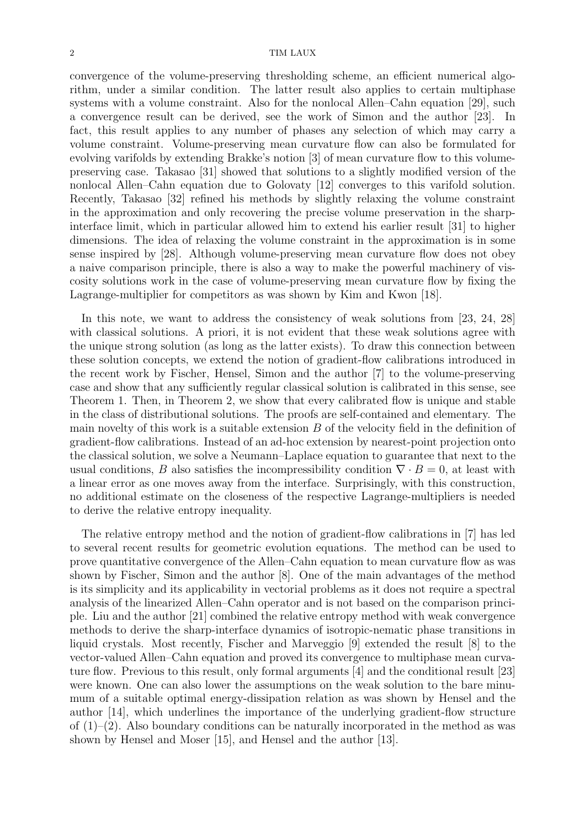convergence of the volume-preserving thresholding scheme, an efficient numerical algorithm, under a similar condition. The latter result also applies to certain multiphase systems with a volume constraint. Also for the nonlocal Allen–Cahn equation [\[29\]](#page-13-0), such a convergence result can be derived, see the work of Simon and the author [\[23\]](#page-13-6). In fact, this result applies to any number of phases any selection of which may carry a volume constraint. Volume-preserving mean curvature flow can also be formulated for evolving varifolds by extending Brakke's notion [\[3\]](#page-12-1) of mean curvature flow to this volumepreserving case. Takasao [\[31\]](#page-13-7) showed that solutions to a slightly modified version of the nonlocal Allen–Cahn equation due to Golovaty [\[12\]](#page-13-8) converges to this varifold solution. Recently, Takasao [\[32\]](#page-13-9) refined his methods by slightly relaxing the volume constraint in the approximation and only recovering the precise volume preservation in the sharpinterface limit, which in particular allowed him to extend his earlier result [\[31\]](#page-13-7) to higher dimensions. The idea of relaxing the volume constraint in the approximation is in some sense inspired by [\[28\]](#page-13-3). Although volume-preserving mean curvature flow does not obey a naive comparison principle, there is also a way to make the powerful machinery of viscosity solutions work in the case of volume-preserving mean curvature flow by fixing the Lagrange-multiplier for competitors as was shown by Kim and Kwon [\[18\]](#page-13-10).

In this note, we want to address the consistency of weak solutions from [\[23,](#page-13-6) [24,](#page-13-5) [28\]](#page-13-3) with classical solutions. A priori, it is not evident that these weak solutions agree with the unique strong solution (as long as the latter exists). To draw this connection between these solution concepts, we extend the notion of gradient-flow calibrations introduced in the recent work by Fischer, Hensel, Simon and the author [\[7\]](#page-12-2) to the volume-preserving case and show that any sufficiently regular classical solution is calibrated in this sense, see Theorem [1.](#page-3-0) Then, in Theorem [2,](#page-5-0) we show that every calibrated flow is unique and stable in the class of distributional solutions. The proofs are self-contained and elementary. The main novelty of this work is a suitable extension  $B$  of the velocity field in the definition of gradient-flow calibrations. Instead of an ad-hoc extension by nearest-point projection onto the classical solution, we solve a Neumann–Laplace equation to guarantee that next to the usual conditions, B also satisfies the incompressibility condition  $\nabla \cdot B = 0$ , at least with a linear error as one moves away from the interface. Surprisingly, with this construction, no additional estimate on the closeness of the respective Lagrange-multipliers is needed to derive the relative entropy inequality.

The relative entropy method and the notion of gradient-flow calibrations in [\[7\]](#page-12-2) has led to several recent results for geometric evolution equations. The method can be used to prove quantitative convergence of the Allen–Cahn equation to mean curvature flow as was shown by Fischer, Simon and the author [\[8\]](#page-12-3). One of the main advantages of the method is its simplicity and its applicability in vectorial problems as it does not require a spectral analysis of the linearized Allen–Cahn operator and is not based on the comparison principle. Liu and the author [\[21\]](#page-13-11) combined the relative entropy method with weak convergence methods to derive the sharp-interface dynamics of isotropic-nematic phase transitions in liquid crystals. Most recently, Fischer and Marveggio [\[9\]](#page-12-4) extended the result [\[8\]](#page-12-3) to the vector-valued Allen–Cahn equation and proved its convergence to multiphase mean curvature flow. Previous to this result, only formal arguments [\[4\]](#page-12-5) and the conditional result [\[23\]](#page-13-6) were known. One can also lower the assumptions on the weak solution to the bare minumum of a suitable optimal energy-dissipation relation as was shown by Hensel and the author [\[14\]](#page-13-12), which underlines the importance of the underlying gradient-flow structure of  $(1)-(2)$  $(1)-(2)$ . Also boundary conditions can be naturally incorporated in the method as was shown by Hensel and Moser [\[15\]](#page-13-13), and Hensel and the author [\[13\]](#page-13-14).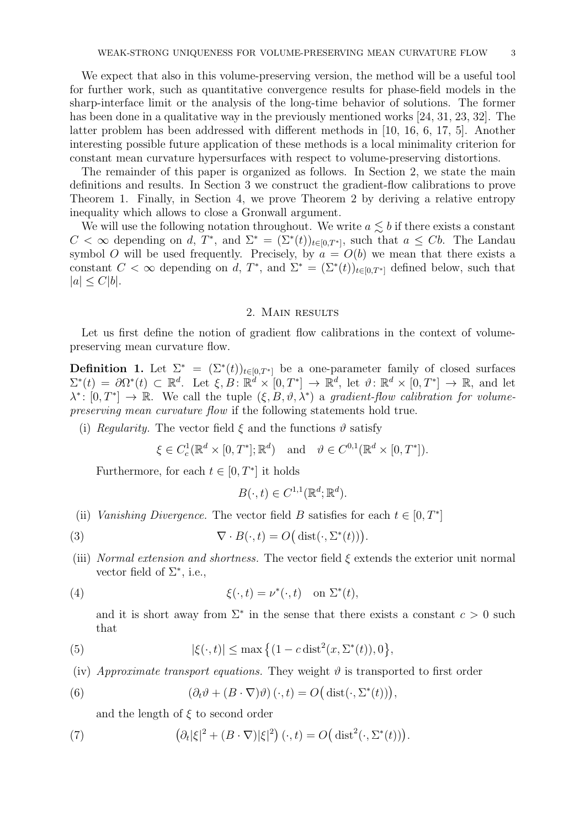We expect that also in this volume-preserving version, the method will be a useful tool for further work, such as quantitative convergence results for phase-field models in the sharp-interface limit or the analysis of the long-time behavior of solutions. The former has been done in a qualitative way in the previously mentioned works [\[24,](#page-13-5) [31,](#page-13-7) [23,](#page-13-6) [32\]](#page-13-9). The latter problem has been addressed with different methods in [\[10,](#page-12-0) [16,](#page-13-1) [6,](#page-12-6) [17,](#page-13-15) [5\]](#page-12-7). Another interesting possible future application of these methods is a local minimality criterion for constant mean curvature hypersurfaces with respect to volume-preserving distortions.

The remainder of this paper is organized as follows. In Section [2,](#page-2-0) we state the main definitions and results. In Section [3](#page-5-1) we construct the gradient-flow calibrations to prove Theorem [1.](#page-3-0) Finally, in Section [4,](#page-8-0) we prove Theorem [2](#page-5-0) by deriving a relative entropy inequality which allows to close a Gronwall argument.

We will use the following notation throughout. We write  $a \lesssim b$  if there exists a constant  $C < \infty$  depending on d,  $T^*$ , and  $\Sigma^* = (\Sigma^*(t))_{t \in [0,T^*]}$ , such that  $a \leq Cb$ . The Landau symbol O will be used frequently. Precisely, by  $a = O(b)$  we mean that there exists a constant  $C < \infty$  depending on d,  $T^*$ , and  $\Sigma^* = (\Sigma^*(t))_{t \in [0,T^*]}$  defined below, such that  $|a| \leq C|b|.$ 

#### 2. Main results

<span id="page-2-0"></span>Let us first define the notion of gradient flow calibrations in the context of volumepreserving mean curvature flow.

<span id="page-2-1"></span>**Definition 1.** Let  $\Sigma^* = (\Sigma^*(t))_{t \in [0,T^*]}$  be a one-parameter family of closed surfaces  $\Sigma^*(t) = \partial\Omega^*(t) \subset \mathbb{R}^d$ . Let  $\xi, B: \mathbb{R}^d \times [0,T^*] \to \mathbb{R}^d$ , let  $\vartheta \colon \mathbb{R}^d \times [0,T^*] \to \mathbb{R}$ , and let  $\lambda^* \colon [0,T^*] \to \mathbb{R}$ . We call the tuple  $(\xi, B, \vartheta, \lambda^*)$  a *gradient-flow calibration for volumepreserving mean curvature flow* if the following statements hold true.

<span id="page-2-3"></span>(i) *Regularity.* The vector field  $\xi$  and the functions  $\vartheta$  satisfy

$$
\xi \in C_c^1(\mathbb{R}^d \times [0,T^*]; \mathbb{R}^d) \quad \text{and} \quad \vartheta \in C^{0,1}(\mathbb{R}^d \times [0,T^*]).
$$

Furthermore, for each  $t \in [0, T^*]$  it holds

$$
B(\cdot,t) \in C^{1,1}(\mathbb{R}^d; \mathbb{R}^d).
$$

- <span id="page-2-4"></span>(ii) *Vanishing Divergence*. The vector field B satisfies for each  $t \in [0, T^*]$
- <span id="page-2-2"></span>(3)  $\nabla \cdot B(\cdot, t) = O\big(\operatorname{dist}(\cdot, \Sigma^*(t))\big).$
- <span id="page-2-5"></span>(iii) *Normal extension and shortness.* The vector field ξ extends the exterior unit normal vector field of  $\Sigma^*$ , i.e.,

<span id="page-2-10"></span>(4) 
$$
\xi(\cdot,t) = \nu^*(\cdot,t) \quad \text{on } \Sigma^*(t),
$$

and it is short away from  $\Sigma^*$  in the sense that there exists a constant  $c > 0$  such that

<span id="page-2-9"></span>(5) 
$$
|\xi(\cdot,t)| \le \max\left\{ (1 - c \operatorname{dist}^2(x, \Sigma^*(t)), 0 \right\},\
$$

<span id="page-2-6"></span>(iv) *Approximate transport equations.* They weight  $\vartheta$  is transported to first order

<span id="page-2-7"></span>(6) 
$$
(\partial_t \vartheta + (B \cdot \nabla) \vartheta) (\cdot, t) = O(dist(\cdot, \Sigma^*(t))),
$$

and the length of  $\xi$  to second order

<span id="page-2-8"></span>(7) 
$$
\left(\partial_t|\xi|^2 + (B\cdot\nabla)|\xi|^2\right)(\cdot,t) = O\left(\mathrm{dist}^2(\cdot,\Sigma^*(t))\right).
$$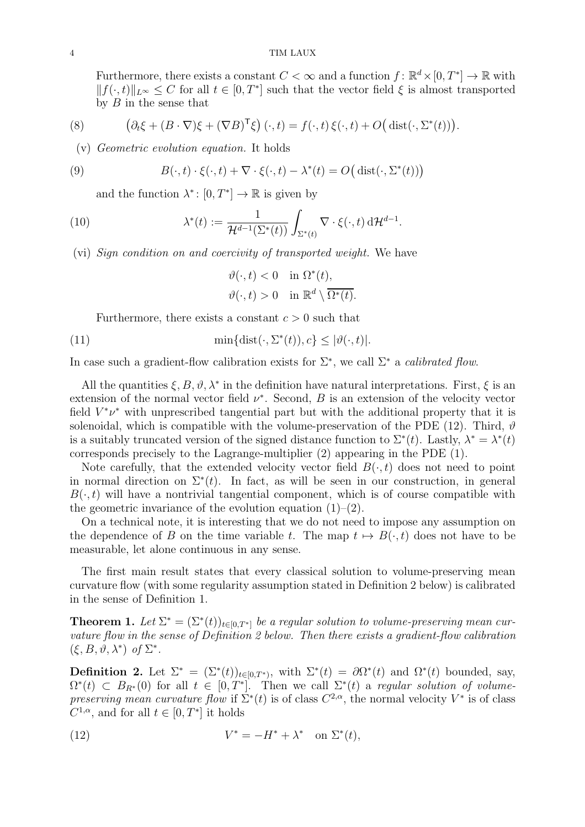Furthermore, there exists a constant  $C < \infty$  and a function  $f: \mathbb{R}^d \times [0, T^*] \to \mathbb{R}$  with  $||f(\cdot, t)||_{L^{\infty}} \leq C$  for all  $t \in [0, T^*]$  such that the vector field  $\xi$  is almost transported by  $B$  in the sense that

<span id="page-3-6"></span><span id="page-3-4"></span>(8) 
$$
\left(\partial_t \xi + (B \cdot \nabla)\xi + (\nabla B)^{\mathsf{T}} \xi\right)(\cdot, t) = f(\cdot, t) \xi(\cdot, t) + O\big(\operatorname{dist}(\cdot, \Sigma^*(t))\big).
$$

(v) *Geometric evolution equation.* It holds

<span id="page-3-3"></span>(9) 
$$
B(\cdot,t)\cdot\xi(\cdot,t)+\nabla\cdot\xi(\cdot,t)-\lambda^*(t)=O\big(\operatorname{dist}(\cdot,\Sigma^*(t))\big)
$$

and the function  $\lambda^* \colon [0, T^*] \to \mathbb{R}$  is given by

<span id="page-3-7"></span>(10) 
$$
\lambda^*(t) := \frac{1}{\mathcal{H}^{d-1}(\Sigma^*(t))} \int_{\Sigma^*(t)} \nabla \cdot \xi(\cdot, t) d\mathcal{H}^{d-1}.
$$

<span id="page-3-5"></span>(vi) *Sign condition on and coercivity of transported weight.* We have

$$
\vartheta(\cdot, t) < 0 \quad \text{in } \Omega^*(t),
$$
\n
$$
\vartheta(\cdot, t) > 0 \quad \text{in } \mathbb{R}^d \setminus \overline{\Omega^*(t)}.
$$

Furthermore, there exists a constant  $c > 0$  such that

<span id="page-3-8"></span>(11) 
$$
\min\{\text{dist}(\cdot, \Sigma^*(t)), c\} \leq |\vartheta(\cdot, t)|.
$$

In case such a gradient-flow calibration exists for  $\Sigma^*$ , we call  $\Sigma^*$  a *calibrated flow*.

All the quantities  $\xi, B, \vartheta, \lambda^*$  in the definition have natural interpretations. First,  $\xi$  is an extension of the normal vector field  $\nu^*$ . Second, B is an extension of the velocity vector field  $V^*\nu^*$  with unprescribed tangential part but with the additional property that it is solenoidal, which is compatible with the volume-preservation of the PDE [\(12\)](#page-3-1). Third,  $\vartheta$ is a suitably truncated version of the signed distance function to  $\Sigma^*(t)$ . Lastly,  $\lambda^* = \lambda^*(t)$ corresponds precisely to the Lagrange-multiplier [\(2\)](#page-0-1) appearing in the PDE [\(1\)](#page-0-0).

Note carefully, that the extended velocity vector field  $B(\cdot,t)$  does not need to point in normal direction on  $\Sigma^*(t)$ . In fact, as will be seen in our construction, in general  $B(\cdot, t)$  will have a nontrivial tangential component, which is of course compatible with the geometric invariance of the evolution equation  $(1)$ – $(2)$ .

On a technical note, it is interesting that we do not need to impose any assumption on the dependence of B on the time variable t. The map  $t \mapsto B(\cdot, t)$  does not have to be measurable, let alone continuous in any sense.

The first main result states that every classical solution to volume-preserving mean curvature flow (with some regularity assumption stated in Definition [2](#page-3-2) below) is calibrated in the sense of Definition [1.](#page-2-1)

<span id="page-3-0"></span>**Theorem 1.** Let  $\Sigma^* = (\Sigma^*(t))_{t \in [0,T^*]}$  be a regular solution to volume-preserving mean cur*vature flow in the sense of Definition [2](#page-3-2) below. Then there exists a gradient-flow calibration*  $(\xi, B, \vartheta, \lambda^*)$  of  $\Sigma^*$ .

<span id="page-3-2"></span>**Definition 2.** Let  $\Sigma^* = (\Sigma^*(t))_{t \in [0,T^*)}$ , with  $\Sigma^*(t) = \partial \Omega^*(t)$  and  $\Omega^*(t)$  bounded, say,  $\Omega^*(t) \subset B_{R^*}(0)$  for all  $t \in [0,T^*]$ . Then we call  $\Sigma^*(t)$  a *regular solution of volumepreserving mean curvature flow* if  $\Sigma^*(t)$  is of class  $C^{2,\alpha}$ , the normal velocity  $V^*$  is of class  $C^{1,\alpha}$ , and for all  $t \in [0,T^*]$  it holds

<span id="page-3-1"></span>(12) 
$$
V^* = -H^* + \lambda^* \quad \text{on } \Sigma^*(t),
$$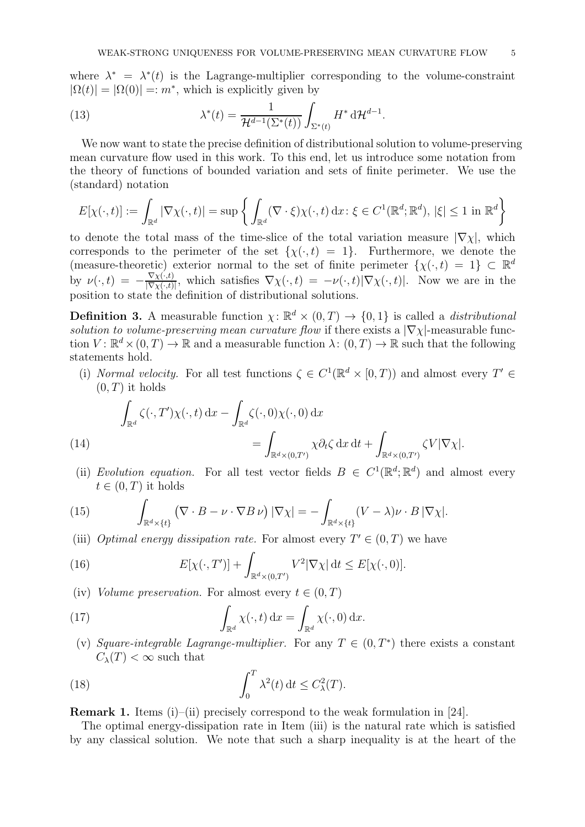where  $\lambda^* = \lambda^*(t)$  is the Lagrange-multiplier corresponding to the volume-constraint  $|\Omega(t)| = |\Omega(0)| =: m^*$ , which is explicitly given by

<span id="page-4-4"></span>(13) 
$$
\lambda^*(t) = \frac{1}{\mathcal{H}^{d-1}(\Sigma^*(t))} \int_{\Sigma^*(t)} H^* d\mathcal{H}^{d-1}.
$$

We now want to state the precise definition of distributional solution to volume-preserving mean curvature flow used in this work. To this end, let us introduce some notation from the theory of functions of bounded variation and sets of finite perimeter. We use the (standard) notation

$$
E[\chi(\cdot,t)] := \int_{\mathbb{R}^d} |\nabla \chi(\cdot,t)| = \sup \left\{ \int_{\mathbb{R}^d} (\nabla \cdot \xi) \chi(\cdot,t) \, \mathrm{d}x \colon \xi \in C^1(\mathbb{R}^d;\mathbb{R}^d), \, |\xi| \le 1 \, \mathrm{in} \, \mathbb{R}^d \right\}
$$

to denote the total mass of the time-slice of the total variation measure  $|\nabla \chi|$ , which corresponds to the perimeter of the set  $\{\chi(\cdot,t) = 1\}$ . Furthermore, we denote the (measure-theoretic) exterior normal to the set of finite perimeter  $\{\chi(\cdot,t) = 1\} \subset \mathbb{R}^d$ by  $\nu(\cdot, t) = -\frac{\nabla \chi(\cdot, t)}{|\nabla \chi(\cdot, t)|}$  $\frac{\nabla \chi(\cdot,t)}{|\nabla \chi(\cdot,t)|}$ , which satisfies  $\nabla \chi(\cdot,t) = -\nu(\cdot,t)|\nabla \chi(\cdot,t)|$ . Now we are in the position to state the definition of distributional solutions.

<span id="page-4-3"></span>**Definition 3.** A measurable function  $\chi: \mathbb{R}^d \times (0,T) \to \{0,1\}$  is called a *distributional solution to volume-preserving mean curvature flow* if there exists a  $|\nabla \chi|$ -measurable function  $V: \mathbb{R}^d \times (0,T) \to \mathbb{R}$  and a measurable function  $\lambda: (0,T) \to \mathbb{R}$  such that the following statements hold.

<span id="page-4-0"></span>(i) *Normal velocity*. For all test functions  $\zeta \in C^1(\mathbb{R}^d \times [0,T))$  and almost every  $T' \in$  $(0, T)$  it holds

(14)  
\n
$$
\int_{\mathbb{R}^d} \zeta(\cdot, T') \chi(\cdot, t) \, dx - \int_{\mathbb{R}^d} \zeta(\cdot, 0) \chi(\cdot, 0) \, dx = \int_{\mathbb{R}^d \times (0, T')} \chi \partial_t \zeta \, dx \, dt + \int_{\mathbb{R}^d \times (0, T')} \zeta V |\nabla \chi|.
$$

<span id="page-4-5"></span><span id="page-4-1"></span>(ii) *Evolution equation*. For all test vector fields  $B \in C^1(\mathbb{R}^d; \mathbb{R}^d)$  and almost every  $t \in (0, T)$  it holds

<span id="page-4-8"></span>(15) 
$$
\int_{\mathbb{R}^d \times \{t\}} (\nabla \cdot B - \nu \cdot \nabla B \nu) |\nabla \chi| = - \int_{\mathbb{R}^d \times \{t\}} (V - \lambda) \nu \cdot B |\nabla \chi|.
$$

<span id="page-4-2"></span>(iii) *Optimal energy dissipation rate.* For almost every  $T' \in (0, T)$  we have

<span id="page-4-6"></span>(16) 
$$
E[\chi(\cdot,T')] + \int_{\mathbb{R}^d \times (0,T')} V^2 |\nabla \chi| dt \leq E[\chi(\cdot,0)].
$$

(iv) *Volume preservation.* For almost every  $t \in (0, T)$ 

<span id="page-4-7"></span>(17) 
$$
\int_{\mathbb{R}^d} \chi(\cdot, t) \, \mathrm{d}x = \int_{\mathbb{R}^d} \chi(\cdot, 0) \, \mathrm{d}x.
$$

(v) Square-integrable Lagrange-multiplier. For any  $T \in (0, T^*)$  there exists a constant  $C_{\lambda}(T) < \infty$  such that

<span id="page-4-9"></span>(18) 
$$
\int_0^T \lambda^2(t) dt \le C_{\lambda}^2(T).
$$

**Remark 1.** Items [\(i\)](#page-4-0)–[\(ii\)](#page-4-1) precisely correspond to the weak formulation in [\[24\]](#page-13-5).

The optimal energy-dissipation rate in Item [\(iii\)](#page-4-2) is the natural rate which is satisfied by any classical solution. We note that such a sharp inequality is at the heart of the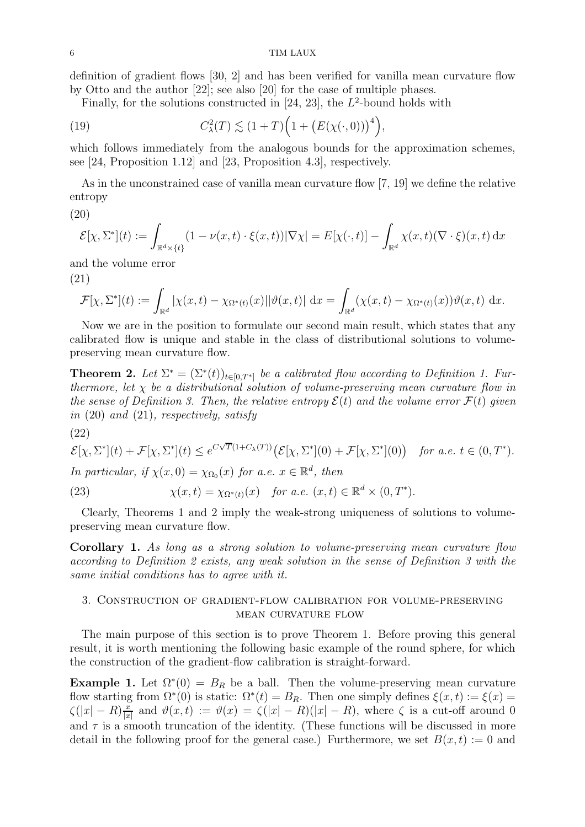definition of gradient flows [\[30,](#page-13-16) [2\]](#page-12-8) and has been verified for vanilla mean curvature flow by Otto and the author [\[22\]](#page-13-17); see also [\[20\]](#page-13-18) for the case of multiple phases.

Finally, for the solutions constructed in  $[24, 23]$  $[24, 23]$ , the  $L^2$ -bound holds with

(19) 
$$
C_{\lambda}^{2}(T) \lesssim (1+T)\Big(1+\big(E(\chi(\cdot,0))\big)^{4}\Big),
$$

which follows immediately from the analogous bounds for the approximation schemes, see [\[24,](#page-13-5) Proposition 1.12] and [\[23,](#page-13-6) Proposition 4.3], respectively.

As in the unconstrained case of vanilla mean curvature flow [\[7,](#page-12-2) [19\]](#page-13-19) we define the relative entropy

<span id="page-5-2"></span>(20)

$$
\mathcal{E}[\chi, \Sigma^*](t) := \int_{\mathbb{R}^d \times \{t\}} (1 - \nu(x, t) \cdot \xi(x, t)) |\nabla \chi| = E[\chi(\cdot, t)] - \int_{\mathbb{R}^d} \chi(x, t) (\nabla \cdot \xi)(x, t) dx
$$

<span id="page-5-3"></span>and the volume error (21)

$$
\mathcal{F}[\chi,\Sigma^*](t) := \int_{\mathbb{R}^d} |\chi(x,t) - \chi_{\Omega^*(t)}(x)| |\vartheta(x,t)| \, dx = \int_{\mathbb{R}^d} (\chi(x,t) - \chi_{\Omega^*(t)}(x)) \vartheta(x,t) \, dx.
$$

Now we are in the position to formulate our second main result, which states that any calibrated flow is unique and stable in the class of distributional solutions to volumepreserving mean curvature flow.

<span id="page-5-0"></span>**Theorem 2.** Let  $\Sigma^* = (\Sigma^*(t))_{t \in [0,T^*]}$  be a calibrated flow according to Definition [1.](#page-2-1) Fur*thermore, let* χ *be a distributional solution of volume-preserving mean curvature flow in the sense of Definition* [3.](#page-4-3) Then, the relative entropy  $\mathcal{E}(t)$  and the volume error  $\mathcal{F}(t)$  *given in* [\(20\)](#page-5-2) *and* [\(21\)](#page-5-3)*, respectively, satisfy*

$$
(22)
$$

$$
\mathcal{E}[\chi,\Sigma^*](t)+\mathcal{F}[\chi,\Sigma^*](t)\leq e^{C\sqrt{T}(1+C_\lambda(T))}\big(\mathcal{E}[\chi,\Sigma^*](0)+\mathcal{F}[\chi,\Sigma^*](0)\big) \quad \text{for a.e. } t\in(0,T^*).
$$

*In particular, if*  $\chi(x,0) = \chi_{\Omega_0}(x)$  *for a.e.*  $x \in \mathbb{R}^d$ , *then* 

<span id="page-5-4"></span>(23) 
$$
\chi(x,t) = \chi_{\Omega^*(t)}(x) \quad \text{for a.e. } (x,t) \in \mathbb{R}^d \times (0,T^*).
$$

Clearly, Theorems [1](#page-3-0) and [2](#page-5-0) imply the weak-strong uniqueness of solutions to volumepreserving mean curvature flow.

Corollary 1. *As long as a strong solution to volume-preserving mean curvature flow according to Definition [2](#page-3-2) exists, any weak solution in the sense of Definition [3](#page-4-3) with the same initial conditions has to agree with it.*

## <span id="page-5-1"></span>3. Construction of gradient-flow calibration for volume-preserving mean curvature flow

The main purpose of this section is to prove Theorem [1.](#page-3-0) Before proving this general result, it is worth mentioning the following basic example of the round sphere, for which the construction of the gradient-flow calibration is straight-forward.

**Example 1.** Let  $\Omega^*(0) = B_R$  be a ball. Then the volume-preserving mean curvature flow starting from  $\Omega^*(0)$  is static:  $\Omega^*(t) = B_R$ . Then one simply defines  $\xi(x,t) := \xi(x) =$  $\zeta(|x| - R) \frac{x}{|x|}$  $\frac{x}{|x|}$  and  $\vartheta(x,t) := \vartheta(x) = \zeta(|x| - R)(|x| - R)$ , where  $\zeta$  is a cut-off around 0 and  $\tau$  is a smooth truncation of the identity. (These functions will be discussed in more detail in the following proof for the general case.) Furthermore, we set  $B(x,t) := 0$  and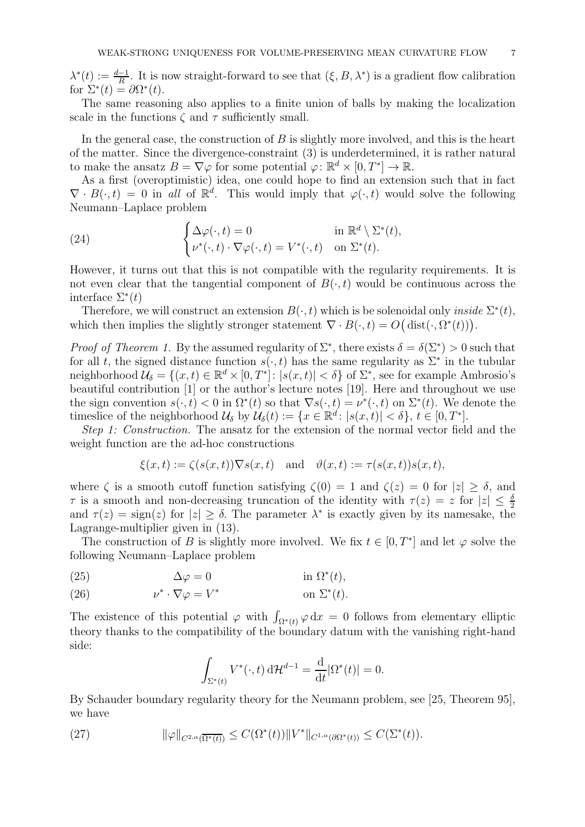$\lambda^*(t) := \frac{d-1}{R}$ . It is now straight-forward to see that  $(\xi, B, \lambda^*)$  is a gradient flow calibration for  $\Sigma^*(t) = \partial \Omega^*(t)$ .

The same reasoning also applies to a finite union of balls by making the localization scale in the functions  $\zeta$  and  $\tau$  sufficiently small.

In the general case, the construction of  $B$  is slightly more involved, and this is the heart of the matter. Since the divergence-constraint [\(3\)](#page-2-2) is underdetermined, it is rather natural to make the ansatz  $B = \nabla \varphi$  for some potential  $\varphi \colon \mathbb{R}^d \times [0, T^*] \to \mathbb{R}$ .

As a first (overoptimistic) idea, one could hope to find an extension such that in fact  $\nabla \cdot B(\cdot,t) = 0$  in all of  $\mathbb{R}^d$ . This would imply that  $\varphi(\cdot,t)$  would solve the following Neumann–Laplace problem

(24) 
$$
\begin{cases} \Delta \varphi(\cdot, t) = 0 & \text{in } \mathbb{R}^d \setminus \Sigma^*(t), \\ \nu^*(\cdot, t) \cdot \nabla \varphi(\cdot, t) = V^*(\cdot, t) & \text{on } \Sigma^*(t). \end{cases}
$$

However, it turns out that this is not compatible with the regularity requirements. It is not even clear that the tangential component of  $B(\cdot, t)$  would be continuous across the interface  $\Sigma^*(t)$ 

Therefore, we will construct an extension  $B(\cdot, t)$  which is be solenoidal only *inside*  $\Sigma^*(t)$ , which then implies the slightly stronger statement  $\nabla \cdot B(\cdot, t) = O(dist(\cdot, \Omega^*(t)))$ .

*Proof of Theorem [1.](#page-3-0)* By the assumed regularity of  $\Sigma^*$ , there exists  $\delta = \delta(\Sigma^*) > 0$  such that for all t, the signed distance function  $s(\cdot, t)$  has the same regularity as  $\Sigma^*$  in the tubular neighborhood  $\mathcal{U}_{\delta} = \{(x, t) \in \mathbb{R}^d \times [0, T^*]: |s(x, t)| < \delta\}$  of  $\Sigma^*$ , see for example Ambrosio's beautiful contribution [\[1\]](#page-12-9) or the author's lecture notes [\[19\]](#page-13-19). Here and throughout we use the sign convention  $s(\cdot, t) < 0$  in  $\Omega^*(t)$  so that  $\nabla s(\cdot, t) = \nu^*(\cdot, t)$  on  $\Sigma^*(t)$ . We denote the timeslice of the neighborhood  $\mathcal{U}_{\delta}$  by  $\mathcal{U}_{\delta}(t) := \{x \in \mathbb{R}^d : |s(x, t)| < \delta\}, t \in [0, T^*].$ 

*Step 1: Construction.* The ansatz for the extension of the normal vector field and the weight function are the ad-hoc constructions

$$
\xi(x,t) := \zeta(s(x,t))\nabla s(x,t) \quad \text{and} \quad \vartheta(x,t) := \tau(s(x,t))s(x,t),
$$

where  $\zeta$  is a smooth cutoff function satisfying  $\zeta(0) = 1$  and  $\zeta(z) = 0$  for  $|z| \ge \delta$ , and  $\tau$  is a smooth and non-decreasing truncation of the identity with  $\tau(z) = z$  for  $|z| \leq \frac{\delta}{2}$ and  $\tau(z) = \text{sign}(z)$  for  $|z| \ge \delta$ . The parameter  $\lambda^*$  is exactly given by its namesake, the Lagrange-multiplier given in [\(13\)](#page-4-4).

The construction of B is slightly more involved. We fix  $t \in [0, T^*]$  and let  $\varphi$  solve the following Neumann–Laplace problem

<span id="page-6-0"></span>(25) 
$$
\Delta \varphi = 0 \qquad \text{in } \Omega^*(t),
$$

<span id="page-6-1"></span>(26) 
$$
\nu^* \cdot \nabla \varphi = V^* \qquad \text{on } \Sigma^*(t).
$$

The existence of this potential  $\varphi$  with  $\int_{\Omega^*(t)} \varphi \, dx = 0$  follows from elementary elliptic theory thanks to the compatibility of the boundary datum with the vanishing right-hand side:

$$
\int_{\Sigma^*(t)} V^*(\cdot, t) d\mathcal{H}^{d-1} = \frac{d}{dt} |\Omega^*(t)| = 0.
$$

By Schauder boundary regularity theory for the Neumann problem, see [\[25,](#page-13-20) Theorem 95], we have

<span id="page-6-2"></span>(27) 
$$
\|\varphi\|_{C^{2,\alpha}(\overline{\Omega^*(t)})} \leq C(\Omega^*(t))\|V^*\|_{C^{1,\alpha}(\partial\Omega^*(t))} \leq C(\Sigma^*(t)).
$$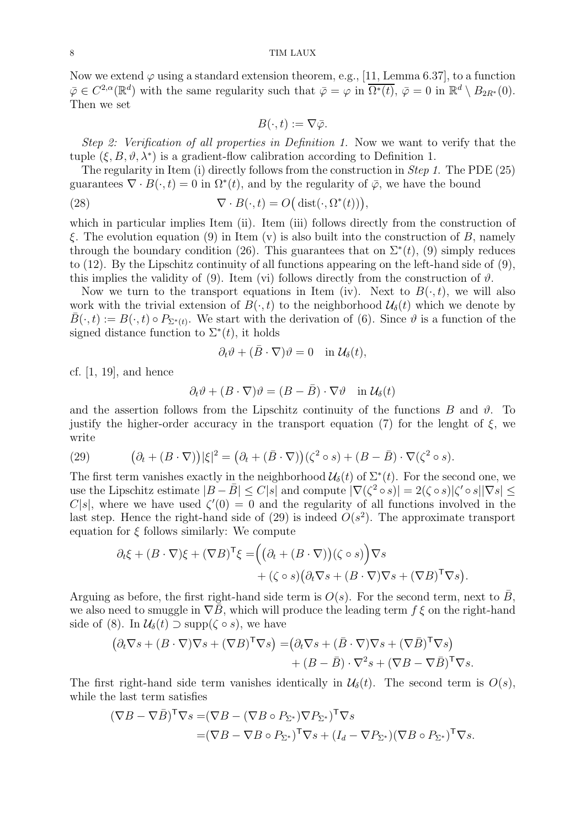Now we extend  $\varphi$  using a standard extension theorem, e.g., [\[11,](#page-12-10) Lemma 6.37], to a function  $\overline{\varphi} \in C^{2,\alpha}(\mathbb{R}^d)$  with the same regularity such that  $\overline{\varphi} = \varphi$  in  $\overline{\Omega^*(t)}$ ,  $\overline{\varphi} = 0$  in  $\mathbb{R}^d \setminus B_{2R^*}(0)$ . Then we set

$$
B(\cdot,t):=\nabla\bar{\varphi}.
$$

*Step 2: Verification of all properties in Definition [1.](#page-2-1)* Now we want to verify that the tuple  $(\xi, B, \vartheta, \lambda^*)$  is a gradient-flow calibration according to Definition [1.](#page-2-1)

The regularity in Item [\(i\)](#page-2-3) directly follows from the construction in *Step 1*. The PDE [\(25\)](#page-6-0) guarantees  $\nabla \cdot B(\cdot, t) = 0$  in  $\Omega^*(t)$ , and by the regularity of  $\overline{\varphi}$ , we have the bound

(28) 
$$
\nabla \cdot B(\cdot, t) = O\big(\operatorname{dist}(\cdot, \Omega^*(t))\big),
$$

which in particular implies Item [\(ii\)](#page-2-4). Item [\(iii\)](#page-2-5) follows directly from the construction of ξ. The evolution equation [\(9\)](#page-3-3) in Item [\(v\)](#page-3-4) is also built into the construction of B, namely through the boundary condition [\(26\)](#page-6-1). This guarantees that on  $\Sigma^*(t)$ , [\(9\)](#page-3-3) simply reduces to [\(12\)](#page-3-1). By the Lipschitz continuity of all functions appearing on the left-hand side of [\(9\)](#page-3-3), this implies the validity of [\(9\)](#page-3-3). Item [\(vi\)](#page-3-5) follows directly from the construction of  $\vartheta$ .

Now we turn to the transport equations in Item [\(iv\)](#page-2-6). Next to  $B(\cdot,t)$ , we will also work with the trivial extension of  $B(\cdot, t)$  to the neighborhood  $\mathcal{U}_{\delta}(t)$  which we denote by  $\bar{B}(\cdot, t) := B(\cdot, t) \circ P_{\Sigma^*(t)}$ . We start with the derivation of [\(6\)](#page-2-7). Since  $\vartheta$  is a function of the signed distance function to  $\Sigma^*(t)$ , it holds

$$
\partial_t \vartheta + (\bar{B} \cdot \nabla) \vartheta = 0 \quad \text{in } \mathcal{U}_{\delta}(t),
$$

cf. [\[1,](#page-12-9) [19\]](#page-13-19), and hence

$$
\partial_t \vartheta + (B \cdot \nabla) \vartheta = (B - \bar{B}) \cdot \nabla \vartheta \quad \text{in } \mathcal{U}_{\delta}(t)
$$

and the assertion follows from the Lipschitz continuity of the functions  $B$  and  $\vartheta$ . To justify the higher-order accuracy in the transport equation [\(7\)](#page-2-8) for the lenght of  $\xi$ , we write

<span id="page-7-0"></span>(29) 
$$
(\partial_t + (B \cdot \nabla)) |\xi|^2 = (\partial_t + (\bar{B} \cdot \nabla)) (\zeta^2 \circ s) + (B - \bar{B}) \cdot \nabla (\zeta^2 \circ s).
$$

The first term vanishes exactly in the neighborhood  $\mathcal{U}_{\delta}(t)$  of  $\Sigma^{*}(t)$ . For the second one, we use the Lipschitz estimate  $|B - \bar{B}| \leq C|s|$  and compute  $|\nabla(\zeta^2 \circ s)| = 2(\zeta \circ s)|\zeta' \circ s||\nabla s| \leq$ C|s|, where we have used  $\zeta'(0) = 0$  and the regularity of all functions involved in the last step. Hence the right-hand side of  $(29)$  is indeed  $O(s^2)$ . The approximate transport equation for  $\xi$  follows similarly: We compute

$$
\partial_t \xi + (B \cdot \nabla)\xi + (\nabla B)^{\mathsf{T}} \xi = \Big( \big( \partial_t + (B \cdot \nabla) \big) (\zeta \circ s) \Big) \nabla s + (\zeta \circ s) \big( \partial_t \nabla s + (B \cdot \nabla) \nabla s + (\nabla B)^{\mathsf{T}} \nabla s \big).
$$

Arguing as before, the first right-hand side term is  $O(s)$ . For the second term, next to  $\bar{B}$ , we also need to smuggle in  $\nabla \bar{B}$ , which will produce the leading term  $f \xi$  on the right-hand side of [\(8\)](#page-3-6). In  $\mathcal{U}_{\delta}(t) \supset \text{supp}(\zeta \circ s)$ , we have

$$
(\partial_t \nabla s + (B \cdot \nabla) \nabla s + (\nabla B)^{\mathsf{T}} \nabla s) = (\partial_t \nabla s + (\bar{B} \cdot \nabla) \nabla s + (\nabla \bar{B})^{\mathsf{T}} \nabla s) + (B - \bar{B}) \cdot \nabla^2 s + (\nabla B - \nabla \bar{B})^{\mathsf{T}} \nabla s.
$$

The first right-hand side term vanishes identically in  $\mathcal{U}_{\delta}(t)$ . The second term is  $O(s)$ , while the last term satisfies

$$
(\nabla B - \nabla \bar{B})^{\mathsf{T}} \nabla s = (\nabla B - (\nabla B \circ P_{\Sigma^*}) \nabla P_{\Sigma^*})^{\mathsf{T}} \nabla s
$$
  
=  $(\nabla B - \nabla B \circ P_{\Sigma^*})^{\mathsf{T}} \nabla s + (I_d - \nabla P_{\Sigma^*}) (\nabla B \circ P_{\Sigma^*})^{\mathsf{T}} \nabla s.$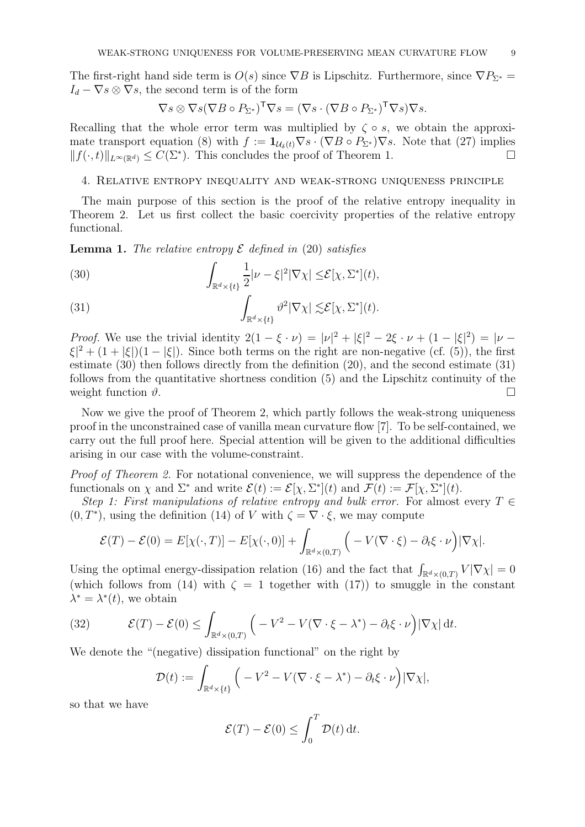The first-right hand side term is  $O(s)$  since  $\nabla B$  is Lipschitz. Furthermore, since  $\nabla P_{\Sigma^*} =$  $I_d - \nabla s \otimes \nabla s$ , the second term is of the form

$$
\nabla s \otimes \nabla s (\nabla B \circ P_{\Sigma^*})^{\mathsf{T}} \nabla s = (\nabla s \cdot (\nabla B \circ P_{\Sigma^*})^{\mathsf{T}} \nabla s) \nabla s.
$$

Recalling that the whole error term was multiplied by  $\zeta \circ s$ , we obtain the approxi-mate transport equation [\(8\)](#page-3-6) with  $f := \mathbf{1}_{\mathcal{U}_{\delta}(t)} \nabla s \cdot (\nabla B \circ P_{\Sigma^*}) \nabla s$ . Note that [\(27\)](#page-6-2) implies  $|| f(\cdot, t) ||_{L^{\infty}(\mathbb{R}^d)} \leq C(\Sigma^*)$ . This concludes the proof of Theorem 1.  $||f(\cdot, t)||_{L^{\infty}(\mathbb{R}^d)} \leq C(\Sigma^*)$ . This concludes the proof of Theorem [1.](#page-3-0)

#### <span id="page-8-0"></span>4. Relative entropy inequality and weak-strong uniqueness principle

The main purpose of this section is the proof of the relative entropy inequality in Theorem [2.](#page-5-0) Let us first collect the basic coercivity properties of the relative entropy functional.

Lemma 1. *The relative entropy* E *defined in* [\(20\)](#page-5-2) *satisfies*

<span id="page-8-1"></span>(30) 
$$
\int_{\mathbb{R}^d \times \{t\}} \frac{1}{2} |\nu - \xi|^2 |\nabla \chi| \leq \mathcal{E}[\chi, \Sigma^*](t),
$$

<span id="page-8-2"></span>(31) 
$$
\int_{\mathbb{R}^d \times \{t\}} \vartheta^2 |\nabla \chi| \lesssim \mathcal{E}[\chi, \Sigma^*](t).
$$

*Proof.* We use the trivial identity  $2(1 - \xi \cdot \nu) = |\nu|^2 + |\xi|^2 - 2\xi \cdot \nu + (1 - |\xi|^2) = |\nu - \nu|^2$  $|\xi|^2 + (1 + |\xi|)(1 - |\xi|)$ . Since both terms on the right are non-negative (cf. [\(5\)](#page-2-9)), the first estimate [\(30\)](#page-8-1) then follows directly from the definition [\(20\)](#page-5-2), and the second estimate [\(31\)](#page-8-2) follows from the quantitative shortness condition [\(5\)](#page-2-9) and the Lipschitz continuity of the weight function  $\vartheta$ .

Now we give the proof of Theorem [2,](#page-5-0) which partly follows the weak-strong uniqueness proof in the unconstrained case of vanilla mean curvature flow [\[7\]](#page-12-2). To be self-contained, we carry out the full proof here. Special attention will be given to the additional difficulties arising in our case with the volume-constraint.

*Proof of Theorem [2.](#page-5-0)* For notational convenience, we will suppress the dependence of the functionals on  $\chi$  and  $\Sigma^*$  and write  $\mathcal{E}(t) := \mathcal{E}[\chi, \Sigma^*](t)$  and  $\mathcal{F}(t) := \mathcal{F}[\chi, \Sigma^*](t)$ .

*Step 1: First manipulations of relative entropy and bulk error.* For almost every  $T \in$  $(0, T^*)$ , using the definition [\(14\)](#page-4-5) of V with  $\zeta = \nabla \cdot \xi$ , we may compute

$$
\mathcal{E}(T) - \mathcal{E}(0) = E[\chi(\cdot, T)] - E[\chi(\cdot, 0)] + \int_{\mathbb{R}^d \times (0,T)} \left( -V(\nabla \cdot \xi) - \partial_t \xi \cdot \nu \right) |\nabla \chi|.
$$

Using the optimal energy-dissipation relation  $(16)$  and the fact that  $\int$  $\int_{\mathbb{R}^d \times (0,T)} V |\nabla \chi| = 0$ (which follows from [\(14\)](#page-4-5) with  $\zeta = 1$  together with [\(17\)](#page-4-7)) to smuggle in the constant  $\lambda^* = \lambda^*(t)$ , we obtain

(32) 
$$
\mathcal{E}(T) - \mathcal{E}(0) \leq \int_{\mathbb{R}^d \times (0,T)} \left( -V^2 - V(\nabla \cdot \xi - \lambda^*) - \partial_t \xi \cdot \nu \right) |\nabla \chi| dt.
$$

We denote the "(negative) dissipation functional" on the right by

$$
\mathcal{D}(t) := \int_{\mathbb{R}^d \times \{t\}} \left( -V^2 - V(\nabla \cdot \xi - \lambda^*) - \partial_t \xi \cdot \nu \right) |\nabla \chi|,
$$

so that we have

$$
\mathcal{E}(T) - \mathcal{E}(0) \le \int_0^T \mathcal{D}(t) dt.
$$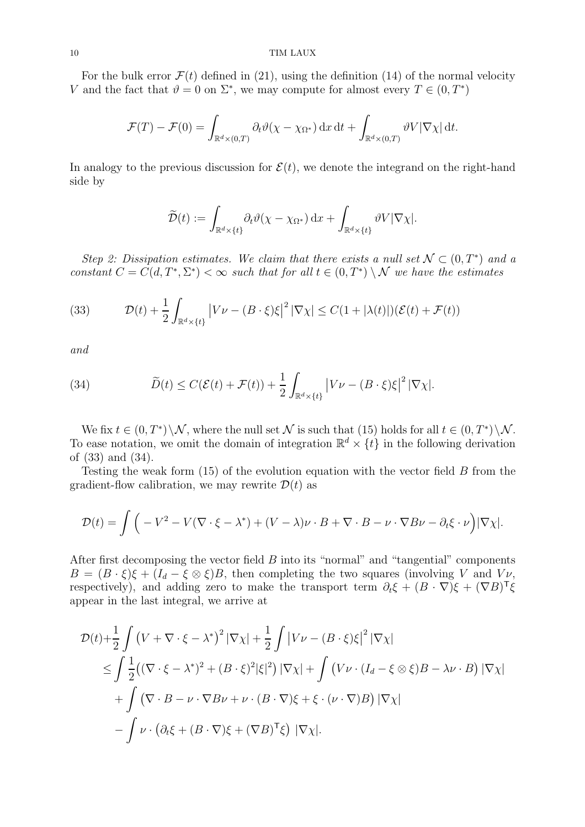For the bulk error  $\mathcal{F}(t)$  defined in [\(21\)](#page-5-3), using the definition [\(14\)](#page-4-5) of the normal velocity V and the fact that  $\vartheta = 0$  on  $\Sigma^*$ , we may compute for almost every  $T \in (0, T^*)$ 

$$
\mathcal{F}(T) - \mathcal{F}(0) = \int_{\mathbb{R}^d \times (0,T)} \partial_t \vartheta(\chi - \chi_{\Omega^*}) \, dx \, dt + \int_{\mathbb{R}^d \times (0,T)} \vartheta V |\nabla \chi| \, dt.
$$

In analogy to the previous discussion for  $\mathcal{E}(t)$ , we denote the integrand on the right-hand side by

$$
\widetilde{\mathcal{D}}(t):=\int_{\mathbb{R}^d\times\{t\}}\partial_t\vartheta(\chi-\chi_{\Omega^*})\,\mathrm{d} x+\int_{\mathbb{R}^d\times\{t\}}\vartheta V|\nabla\chi|.
$$

*Step 2: Dissipation estimates. We claim that there exists a null set*  $\mathcal{N} \subset (0, T^*)$  *and a constant*  $C = C(d, T^*, \Sigma^*) < \infty$  *such that for all*  $t \in (0, T^*) \setminus \mathcal{N}$  *we have the estimates* 

<span id="page-9-0"></span>(33) 
$$
\mathcal{D}(t) + \frac{1}{2} \int_{\mathbb{R}^d \times \{t\}} \left| V\nu - (B \cdot \xi)\xi \right|^2 |\nabla \chi| \leq C(1 + |\lambda(t)|)(\mathcal{E}(t) + \mathcal{F}(t))
$$

*and*

<span id="page-9-1"></span>(34) 
$$
\widetilde{D}(t) \leq C(\mathcal{E}(t) + \mathcal{F}(t)) + \frac{1}{2} \int_{\mathbb{R}^d \times \{t\}} \left| V\nu - (B \cdot \xi)\xi \right|^2 |\nabla \chi|.
$$

We fix  $t \in (0,T^*)\setminus \mathcal{N}$ , where the null set  $\mathcal N$  is such that [\(15\)](#page-4-8) holds for all  $t \in (0,T^*)\setminus \mathcal{N}$ . To ease notation, we omit the domain of integration  $\mathbb{R}^d \times \{t\}$  in the following derivation of [\(33\)](#page-9-0) and [\(34\)](#page-9-1).

Testing the weak form  $(15)$  of the evolution equation with the vector field B from the gradient-flow calibration, we may rewrite  $\mathcal{D}(t)$  as

$$
\mathcal{D}(t) = \int \left( -V^2 - V(\nabla \cdot \xi - \lambda^*) + (V - \lambda)\nu \cdot B + \nabla \cdot B - \nu \cdot \nabla B \nu - \partial_t \xi \cdot \nu \right) |\nabla \chi|.
$$

After first decomposing the vector field  $B$  into its "normal" and "tangential" components  $B = (B \cdot \xi)\xi + (I_d - \xi \otimes \xi)B$ , then completing the two squares (involving V and Vv, respectively), and adding zero to make the transport term  $\partial_t \xi + (B \cdot \nabla) \xi + (\nabla B)^T \xi$ appear in the last integral, we arrive at

$$
\mathcal{D}(t) + \frac{1}{2} \int (V + \nabla \cdot \xi - \lambda^*)^2 |\nabla \chi| + \frac{1}{2} \int |V\nu - (B \cdot \xi)\xi|^2 |\nabla \chi|
$$
  
\n
$$
\leq \int \frac{1}{2} ((\nabla \cdot \xi - \lambda^*)^2 + (B \cdot \xi)^2 |\xi|^2) |\nabla \chi| + \int (V\nu \cdot (I_d - \xi \otimes \xi) B - \lambda \nu \cdot B) |\nabla \chi|
$$
  
\n
$$
+ \int (\nabla \cdot B - \nu \cdot \nabla B \nu + \nu \cdot (B \cdot \nabla) \xi + \xi \cdot (\nu \cdot \nabla) B) |\nabla \chi|
$$
  
\n
$$
- \int \nu \cdot (\partial_t \xi + (B \cdot \nabla) \xi + (\nabla B)^T \xi) |\nabla \chi|.
$$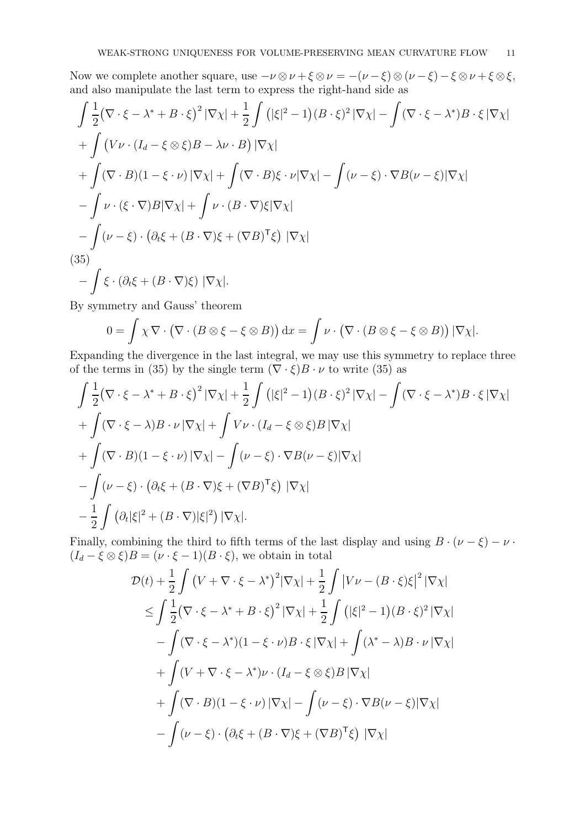Now we complete another square, use  $-\nu \otimes \nu + \xi \otimes \nu = -(\nu - \xi) \otimes (\nu - \xi) - \xi \otimes \nu + \xi \otimes \xi$ , and also manipulate the last term to express the right-hand side as

$$
\int \frac{1}{2} (\nabla \cdot \xi - \lambda^* + B \cdot \xi)^2 |\nabla \chi| + \frac{1}{2} \int (|\xi|^2 - 1)(B \cdot \xi)^2 |\nabla \chi| - \int (\nabla \cdot \xi - \lambda^*) B \cdot \xi |\nabla \chi| \n+ \int (V \nu \cdot (I_d - \xi \otimes \xi) B - \lambda \nu \cdot B) |\nabla \chi| \n+ \int (\nabla \cdot B)(1 - \xi \cdot \nu) |\nabla \chi| + \int (\nabla \cdot B)\xi \cdot \nu |\nabla \chi| - \int (\nu - \xi) \cdot \nabla B(\nu - \xi) |\nabla \chi| \n- \int \nu \cdot (\xi \cdot \nabla) B |\nabla \chi| + \int \nu \cdot (B \cdot \nabla) \xi |\nabla \chi| \n- \int (\nu - \xi) \cdot (\partial_t \xi + (B \cdot \nabla) \xi + (\nabla B)^T \xi) |\nabla \chi| \n(35) \n- \int \xi \cdot (\partial_t \xi + (B \cdot \nabla) \xi) |\nabla \chi|.
$$

<span id="page-10-0"></span>By symmetry and Gauss' theorem

$$
0 = \int \chi \nabla \cdot (\nabla \cdot (B \otimes \xi - \xi \otimes B)) dx = \int \nu \cdot (\nabla \cdot (B \otimes \xi - \xi \otimes B)) |\nabla \chi|.
$$

Expanding the divergence in the last integral, we may use this symmetry to replace three of the terms in [\(35\)](#page-10-0) by the single term  $(\nabla \cdot \xi)B \cdot \nu$  to write (35) as

$$
\int \frac{1}{2} (\nabla \cdot \xi - \lambda^* + B \cdot \xi)^2 |\nabla \chi| + \frac{1}{2} \int (|\xi|^2 - 1)(B \cdot \xi)^2 |\nabla \chi| - \int (\nabla \cdot \xi - \lambda^*) B \cdot \xi |\nabla \chi|
$$
  
+ 
$$
\int (\nabla \cdot \xi - \lambda) B \cdot \nu |\nabla \chi| + \int V \nu \cdot (I_d - \xi \otimes \xi) B |\nabla \chi|
$$
  
+ 
$$
\int (\nabla \cdot B)(1 - \xi \cdot \nu) |\nabla \chi| - \int (\nu - \xi) \cdot \nabla B(\nu - \xi) |\nabla \chi|
$$
  
- 
$$
\int (\nu - \xi) \cdot (\partial_t \xi + (B \cdot \nabla) \xi + (\nabla B)^T \xi) |\nabla \chi|
$$
  
- 
$$
\frac{1}{2} \int (\partial_t |\xi|^2 + (B \cdot \nabla) |\xi|^2) |\nabla \chi|.
$$

Finally, combining the third to fifth terms of the last display and using  $B \cdot (\nu - \xi) - \nu$ .  $(I_d - \xi \otimes \xi)B = (\nu \cdot \xi - 1)(B \cdot \xi)$ , we obtain in total

$$
\mathcal{D}(t) + \frac{1}{2} \int (V + \nabla \cdot \xi - \lambda^*)^2 |\nabla \chi| + \frac{1}{2} \int |V\nu - (B \cdot \xi)\xi|^2 |\nabla \chi|
$$
  
\n
$$
\leq \int \frac{1}{2} (\nabla \cdot \xi - \lambda^* + B \cdot \xi)^2 |\nabla \chi| + \frac{1}{2} \int (|\xi|^2 - 1)(B \cdot \xi)^2 |\nabla \chi|
$$
  
\n
$$
- \int (\nabla \cdot \xi - \lambda^*)(1 - \xi \cdot \nu) B \cdot \xi |\nabla \chi| + \int (\lambda^* - \lambda) B \cdot \nu |\nabla \chi|
$$
  
\n
$$
+ \int (V + \nabla \cdot \xi - \lambda^*) \nu \cdot (I_d - \xi \otimes \xi) B |\nabla \chi|
$$
  
\n
$$
+ \int (\nabla \cdot B)(1 - \xi \cdot \nu) |\nabla \chi| - \int (\nu - \xi) \cdot \nabla B(\nu - \xi) |\nabla \chi|
$$
  
\n
$$
- \int (\nu - \xi) \cdot (\partial_t \xi + (B \cdot \nabla)\xi + (\nabla B)^T \xi) |\nabla \chi|
$$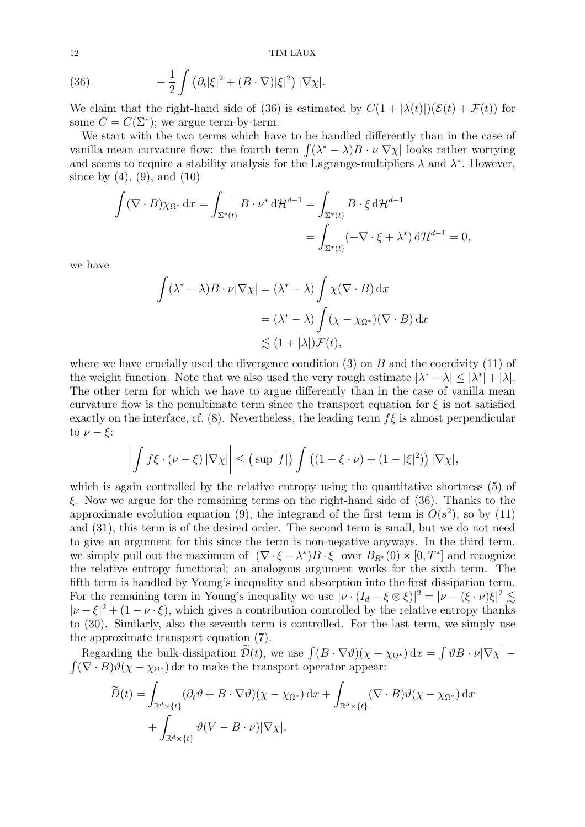<span id="page-11-0"></span>(36) 
$$
-\frac{1}{2}\int (\partial_t |\xi|^2 + (B \cdot \nabla)|\xi|^2) |\nabla \chi|.
$$

We claim that the right-hand side of [\(36\)](#page-11-0) is estimated by  $C(1 + |\lambda(t)|)(\mathcal{E}(t) + \mathcal{F}(t))$  for some  $C = C(\Sigma^*)$ ; we argue term-by-term.

We start with the two terms which have to be handled differently than in the case of vanilla mean curvature flow: the fourth term  $\int (\lambda^* - \lambda) B \cdot \nu |\nabla \chi|$  looks rather worrying and seems to require a stability analysis for the Lagrange-multipliers  $\lambda$  and  $\lambda^*$ . However, since by  $(4)$ ,  $(9)$ , and  $(10)$ 

$$
\int (\nabla \cdot B) \chi_{\Omega^*} dx = \int_{\Sigma^*(t)} B \cdot \nu^* d\mathcal{H}^{d-1} = \int_{\Sigma^*(t)} B \cdot \xi d\mathcal{H}^{d-1}
$$
  
= 
$$
\int_{\Sigma^*(t)} (-\nabla \cdot \xi + \lambda^*) d\mathcal{H}^{d-1} = 0,
$$

we have

$$
\int (\lambda^* - \lambda) B \cdot \nu |\nabla \chi| = (\lambda^* - \lambda) \int \chi(\nabla \cdot B) \, dx
$$

$$
= (\lambda^* - \lambda) \int (\chi - \chi_{\Omega^*})(\nabla \cdot B) \, dx
$$

$$
\lesssim (1 + |\lambda|) \mathcal{F}(t),
$$

where we have crucially used the divergence condition  $(3)$  on B and the coercivity  $(11)$  of the weight function. Note that we also used the very rough estimate  $|\lambda^* - \lambda| \leq |\lambda^*| + |\lambda|$ . The other term for which we have to argue differently than in the case of vanilla mean curvature flow is the penultimate term since the transport equation for  $\xi$  is not satisfied exactly on the interface, cf. [\(8\)](#page-3-6). Nevertheless, the leading term  $f\xi$  is almost perpendicular to  $\nu - \xi$ :

$$
\left| \int f\xi \cdot (\nu - \xi) |\nabla \chi| \right| \leq \left( \sup |f| \right) \int \left( (1 - \xi \cdot \nu) + (1 - |\xi|^2) \right) |\nabla \chi|,
$$

which is again controlled by the relative entropy using the quantitative shortness [\(5\)](#page-2-9) of  $\xi$ . Now we argue for the remaining terms on the right-hand side of [\(36\)](#page-11-0). Thanks to the approximate evolution equation [\(9\)](#page-3-3), the integrand of the first term is  $O(s^2)$ , so by [\(11\)](#page-3-8) and [\(31\)](#page-8-2), this term is of the desired order. The second term is small, but we do not need to give an argument for this since the term is non-negative anyways. In the third term, we simply pull out the maximum of  $|(\nabla \cdot \xi - \lambda^*)B \cdot \xi|$  over  $B_{R^*}(0) \times [0, T^*]$  and recognize the relative entropy functional; an analogous argument works for the sixth term. The fifth term is handled by Young's inequality and absorption into the first dissipation term. For the remaining term in Young's inequality we use  $|\nu \cdot (I_d - \xi \otimes \xi)|^2 = |\nu - (\xi \cdot \nu)\xi|^2 \lesssim$  $|\nu-\xi|^2 + (1-\nu \cdot \xi)$ , which gives a contribution controlled by the relative entropy thanks to [\(30\)](#page-8-1). Similarly, also the seventh term is controlled. For the last term, we simply use the approximate transport equation [\(7\)](#page-2-8).

Regarding the bulk-dissipation  $\widetilde{\mathcal{D}}(t)$ , we use  $\int (B \cdot \nabla \vartheta)(\chi - \chi_{\Omega^*}) dx = \int \vartheta B \cdot \nu |\nabla \chi|$  –  $\int (\nabla \cdot B) \vartheta(\chi - \chi_{\Omega^*}) \,dx$  to make the transport operator appear:

$$
\widetilde{D}(t) = \int_{\mathbb{R}^d \times \{t\}} (\partial_t \vartheta + B \cdot \nabla \vartheta)(\chi - \chi_{\Omega^*}) dx + \int_{\mathbb{R}^d \times \{t\}} (\nabla \cdot B) \vartheta(\chi - \chi_{\Omega^*}) dx \n+ \int_{\mathbb{R}^d \times \{t\}} \vartheta(V - B \cdot \nu) |\nabla \chi|.
$$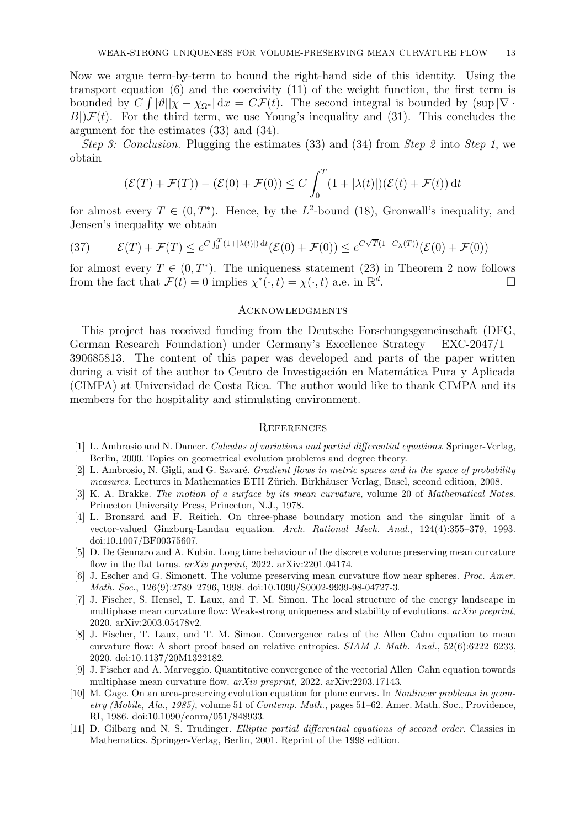Now we argue term-by-term to bound the right-hand side of this identity. Using the transport equation [\(6\)](#page-2-7) and the coercivity [\(11\)](#page-3-8) of the weight function, the first term is bounded by  $C \int |\vartheta||\chi - \chi_{\Omega^*}| dx = C \mathcal{F}(t)$ . The second integral is bounded by  $(\sup |\nabla \cdot$  $B|\mathcal{F}(t)$ . For the third term, we use Young's inequality and [\(31\)](#page-8-2). This concludes the argument for the estimates [\(33\)](#page-9-0) and [\(34\)](#page-9-1).

*Step 3: Conclusion.* Plugging the estimates [\(33\)](#page-9-0) and [\(34\)](#page-9-1) from *Step 2* into *Step 1*, we obtain

$$
(\mathcal{E}(T) + \mathcal{F}(T)) - (\mathcal{E}(0) + \mathcal{F}(0)) \le C \int_0^T (1 + |\lambda(t)|)(\mathcal{E}(t) + \mathcal{F}(t)) dt
$$

for almost every  $T \in (0, T^*)$ . Hence, by the L<sup>2</sup>-bound [\(18\)](#page-4-9), Gronwall's inequality, and Jensen's inequality we obtain

(37) 
$$
\mathcal{E}(T) + \mathcal{F}(T) \leq e^{C \int_0^T (1+|\lambda(t)|) dt} (\mathcal{E}(0) + \mathcal{F}(0)) \leq e^{C\sqrt{T}(1+C_{\lambda}(T))} (\mathcal{E}(0) + \mathcal{F}(0))
$$

for almost every  $T \in (0, T^*)$ . The uniqueness statement [\(23\)](#page-5-4) in Theorem [2](#page-5-0) now follows from the fact that  $\mathcal{F}(t) = 0$  implies  $\chi^*(\cdot, t) = \chi(\cdot, t)$  a.e. in  $\mathbb{R}^d$ . — Первый процесс в после просто просто просто просто просто просто просто просто просто просто просто просто<br>В 1990 году стала просто просто просто просто просто просто просто просто просто просто просто просто просто п

#### **ACKNOWLEDGMENTS**

This project has received funding from the Deutsche Forschungsgemeinschaft (DFG, German Research Foundation) under Germany's Excellence Strategy – EXC-2047/1 – 390685813. The content of this paper was developed and parts of the paper written during a visit of the author to Centro de Investigación en Matemática Pura y Aplicada (CIMPA) at Universidad de Costa Rica. The author would like to thank CIMPA and its members for the hospitality and stimulating environment.

#### **REFERENCES**

- <span id="page-12-9"></span>[1] L. Ambrosio and N. Dancer. Calculus of variations and partial differential equations. Springer-Verlag, Berlin, 2000. Topics on geometrical evolution problems and degree theory.
- <span id="page-12-8"></span><span id="page-12-1"></span>[2] L. Ambrosio, N. Gigli, and G. Savaré. *Gradient flows in metric spaces and in the space of probability* measures. Lectures in Mathematics ETH Zürich. Birkhäuser Verlag, Basel, second edition, 2008.
- [3] K. A. Brakke. The motion of a surface by its mean curvature, volume 20 of Mathematical Notes. Princeton University Press, Princeton, N.J., 1978.
- <span id="page-12-5"></span>[4] L. Bronsard and F. Reitich. On three-phase boundary motion and the singular limit of a vector-valued Ginzburg-Landau equation. Arch. Rational Mech. Anal., 124(4):355–379, 1993. [doi:10.1007/BF00375607.](https://doi.org/10.1007/BF00375607)
- <span id="page-12-7"></span>[5] D. De Gennaro and A. Kubin. Long time behaviour of the discrete volume preserving mean curvature flow in the flat torus. arXiv preprint, 2022. [arXiv:2201.04174.](https://arxiv.org/abs/arXiv:2201.04174)
- <span id="page-12-6"></span>[6] J. Escher and G. Simonett. The volume preserving mean curvature flow near spheres. Proc. Amer. Math. Soc., 126(9):2789–2796, 1998. [doi:10.1090/S0002-9939-98-04727-3.](https://doi.org/10.1090/S0002-9939-98-04727-3)
- <span id="page-12-2"></span>[7] J. Fischer, S. Hensel, T. Laux, and T. M. Simon. The local structure of the energy landscape in multiphase mean curvature flow: Weak-strong uniqueness and stability of evolutions. arXiv preprint, 2020. [arXiv:2003.05478v2.](https://arxiv.org/abs/2003.05478)
- <span id="page-12-3"></span>[8] J. Fischer, T. Laux, and T. M. Simon. Convergence rates of the Allen–Cahn equation to mean curvature flow: A short proof based on relative entropies. SIAM J. Math. Anal., 52(6):6222–6233, 2020. [doi:10.1137/20M1322182.](https://doi.org/10.1137/20M1322182)
- <span id="page-12-4"></span>[9] J. Fischer and A. Marveggio. Quantitative convergence of the vectorial Allen–Cahn equation towards multiphase mean curvature flow. arXiv preprint, 2022. [arXiv:2203.17143.](https://arxiv.org/abs/2203.17143)
- <span id="page-12-0"></span>[10] M. Gage. On an area-preserving evolution equation for plane curves. In Nonlinear problems in geometry (Mobile, Ala., 1985), volume 51 of Contemp. Math., pages 51–62. Amer. Math. Soc., Providence, RI, 1986. [doi:10.1090/conm/051/848933.](https://doi.org/10.1090/conm/051/848933)
- <span id="page-12-10"></span>[11] D. Gilbarg and N. S. Trudinger. Elliptic partial differential equations of second order. Classics in Mathematics. Springer-Verlag, Berlin, 2001. Reprint of the 1998 edition.